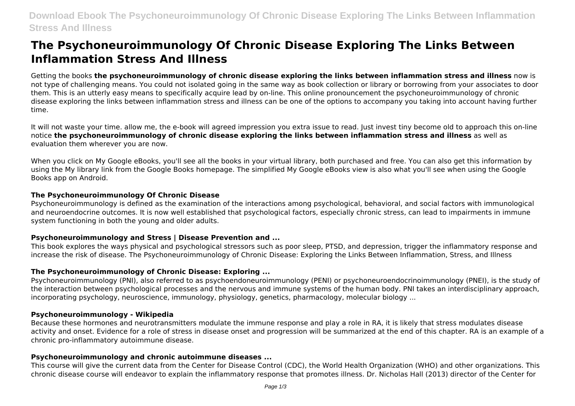# **The Psychoneuroimmunology Of Chronic Disease Exploring The Links Between Inflammation Stress And Illness**

Getting the books **the psychoneuroimmunology of chronic disease exploring the links between inflammation stress and illness** now is not type of challenging means. You could not isolated going in the same way as book collection or library or borrowing from your associates to door them. This is an utterly easy means to specifically acquire lead by on-line. This online pronouncement the psychoneuroimmunology of chronic disease exploring the links between inflammation stress and illness can be one of the options to accompany you taking into account having further time.

It will not waste your time. allow me, the e-book will agreed impression you extra issue to read. Just invest tiny become old to approach this on-line notice **the psychoneuroimmunology of chronic disease exploring the links between inflammation stress and illness** as well as evaluation them wherever you are now.

When you click on My Google eBooks, you'll see all the books in your virtual library, both purchased and free. You can also get this information by using the My library link from the Google Books homepage. The simplified My Google eBooks view is also what you'll see when using the Google Books app on Android.

#### **The Psychoneuroimmunology Of Chronic Disease**

Psychoneuroimmunology is defined as the examination of the interactions among psychological, behavioral, and social factors with immunological and neuroendocrine outcomes. It is now well established that psychological factors, especially chronic stress, can lead to impairments in immune system functioning in both the young and older adults.

# **Psychoneuroimmunology and Stress | Disease Prevention and ...**

This book explores the ways physical and psychological stressors such as poor sleep, PTSD, and depression, trigger the inflammatory response and increase the risk of disease. The Psychoneuroimmunology of Chronic Disease: Exploring the Links Between Inflammation, Stress, and Illness

# **The Psychoneuroimmunology of Chronic Disease: Exploring ...**

Psychoneuroimmunology (PNI), also referred to as psychoendoneuroimmunology (PENI) or psychoneuroendocrinoimmunology (PNEI), is the study of the interaction between psychological processes and the nervous and immune systems of the human body. PNI takes an interdisciplinary approach, incorporating psychology, neuroscience, immunology, physiology, genetics, pharmacology, molecular biology ...

#### **Psychoneuroimmunology - Wikipedia**

Because these hormones and neurotransmitters modulate the immune response and play a role in RA, it is likely that stress modulates disease activity and onset. Evidence for a role of stress in disease onset and progression will be summarized at the end of this chapter. RA is an example of a chronic pro-inflammatory autoimmune disease.

# **Psychoneuroimmunology and chronic autoimmune diseases ...**

This course will give the current data from the Center for Disease Control (CDC), the World Health Organization (WHO) and other organizations. This chronic disease course will endeavor to explain the inflammatory response that promotes illness. Dr. Nicholas Hall (2013) director of the Center for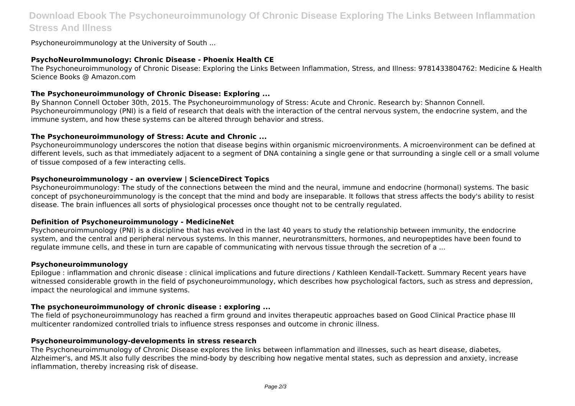# **Download Ebook The Psychoneuroimmunology Of Chronic Disease Exploring The Links Between Inflammation Stress And Illness**

Psychoneuroimmunology at the University of South ...

# **PsychoNeuroImmunology: Chronic Disease - Phoenix Health CE**

The Psychoneuroimmunology of Chronic Disease: Exploring the Links Between Inflammation, Stress, and Illness: 9781433804762: Medicine & Health Science Books @ Amazon.com

# **The Psychoneuroimmunology of Chronic Disease: Exploring ...**

By Shannon Connell October 30th, 2015. The Psychoneuroimmunology of Stress: Acute and Chronic. Research by: Shannon Connell. Psychoneuroimmunology (PNI) is a field of research that deals with the interaction of the central nervous system, the endocrine system, and the immune system, and how these systems can be altered through behavior and stress.

# **The Psychoneuroimmunology of Stress: Acute and Chronic ...**

Psychoneuroimmunology underscores the notion that disease begins within organismic microenvironments. A microenvironment can be defined at different levels, such as that immediately adjacent to a segment of DNA containing a single gene or that surrounding a single cell or a small volume of tissue composed of a few interacting cells.

# **Psychoneuroimmunology - an overview | ScienceDirect Topics**

Psychoneuroimmunology: The study of the connections between the mind and the neural, immune and endocrine (hormonal) systems. The basic concept of psychoneuroimmunology is the concept that the mind and body are inseparable. It follows that stress affects the body's ability to resist disease. The brain influences all sorts of physiological processes once thought not to be centrally regulated.

# **Definition of Psychoneuroimmunology - MedicineNet**

Psychoneuroimmunology (PNI) is a discipline that has evolved in the last 40 years to study the relationship between immunity, the endocrine system, and the central and peripheral nervous systems. In this manner, neurotransmitters, hormones, and neuropeptides have been found to regulate immune cells, and these in turn are capable of communicating with nervous tissue through the secretion of a ...

# **Psychoneuroimmunology**

Epilogue : inflammation and chronic disease : clinical implications and future directions / Kathleen Kendall-Tackett. Summary Recent years have witnessed considerable growth in the field of psychoneuroimmunology, which describes how psychological factors, such as stress and depression, impact the neurological and immune systems.

# **The psychoneuroimmunology of chronic disease : exploring ...**

The field of psychoneuroimmunology has reached a firm ground and invites therapeutic approaches based on Good Clinical Practice phase III multicenter randomized controlled trials to influence stress responses and outcome in chronic illness.

# **Psychoneuroimmunology-developments in stress research**

The Psychoneuroimmunology of Chronic Disease explores the links between inflammation and illnesses, such as heart disease, diabetes, Alzheimer's, and MS.It also fully describes the mind-body by describing how negative mental states, such as depression and anxiety, increase inflammation, thereby increasing risk of disease.